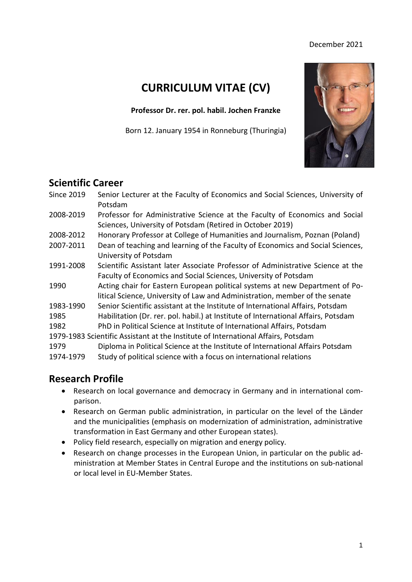#### December 2021

# **CURRICULUM VITAE (CV)**

**Professor Dr. rer. pol. habil. Jochen Franzke**

Born 12. January 1954 in Ronneburg (Thuringia)



### **Scientific Career**

| Potsdam                                                                                                                                                             |  |
|---------------------------------------------------------------------------------------------------------------------------------------------------------------------|--|
| 2008-2019<br>Professor for Administrative Science at the Faculty of Economics and Social<br>Sciences, University of Potsdam (Retired in October 2019)               |  |
| Honorary Professor at College of Humanities and Journalism, Poznan (Poland)<br>2008-2012                                                                            |  |
| 2007-2011<br>Dean of teaching and learning of the Faculty of Economics and Social Sciences,<br>University of Potsdam                                                |  |
| 1991-2008<br>Scientific Assistant later Associate Professor of Administrative Science at the<br>Faculty of Economics and Social Sciences, University of Potsdam     |  |
| Acting chair for Eastern European political systems at new Department of Po-<br>1990<br>litical Science, University of Law and Administration, member of the senate |  |
| Senior Scientific assistant at the Institute of International Affairs, Potsdam<br>1983-1990                                                                         |  |
| Habilitation (Dr. rer. pol. habil.) at Institute of International Affairs, Potsdam<br>1985                                                                          |  |
| 1982<br>PhD in Political Science at Institute of International Affairs, Potsdam                                                                                     |  |
| 1979-1983 Scientific Assistant at the Institute of International Affairs, Potsdam                                                                                   |  |
| Diploma in Political Science at the Institute of International Affairs Potsdam<br>1979                                                                              |  |
| 1974-1979<br>Study of political science with a focus on international relations                                                                                     |  |

### **Research Profile**

- Research on local governance and democracy in Germany and in international comparison.
- Research on German public administration, in particular on the level of the Länder and the municipalities (emphasis on modernization of administration, administrative transformation in East Germany and other European states).
- Policy field research, especially on migration and energy policy.
- Research on change processes in the European Union, in particular on the public administration at Member States in Central Europe and the institutions on sub-national or local level in EU-Member States.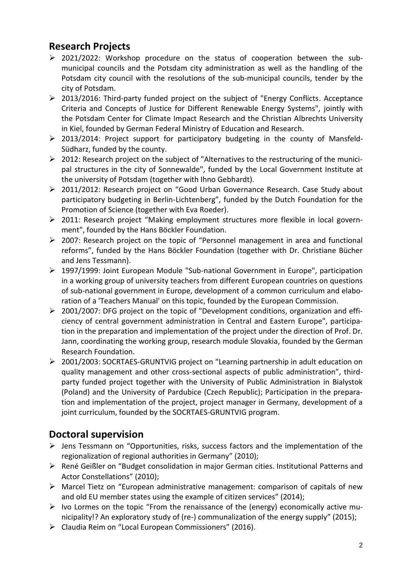# **Research Projects**

- ➢ 2021/2022: Workshop procedure on the status of cooperation between the submunicipal councils and the Potsdam city administration as well as the handling of the Potsdam city council with the resolutions of the sub-municipal councils, tender by the city of Potsdam.
- ➢ 2013/2016: Third-party funded project on the subject of "Energy Conflicts. Acceptance Criteria and Concepts of Justice for Different Renewable Energy Systems", jointly with the Potsdam Center for Climate Impact Research and the Christian Albrechts University in Kiel, founded by German Federal Ministry of Education and Research.
- ➢ 2013/2014: Project support for participatory budgeting in the county of Mansfeld-Südharz, funded by the county.
- ➢ 2012: Research project on the subject of "Alternatives to the restructuring of the municipal structures in the city of Sonnewalde", funded by the Local Government Institute at the university of Potsdam (together with Ihno Gebhardt).
- ➢ 2011/2012: Research project on "Good Urban Governance Research. Case Study about participatory budgeting in Berlin-Lichtenberg", funded by the Dutch Foundation for the Promotion of Science (together with Eva Roeder).
- ➢ 2011: Research project "Making employment structures more flexible in local government", founded by the Hans Böckler Foundation.
- ➢ 2007: Research project on the topic of "Personnel management in area and functional reforms", funded by the Hans Böckler Foundation (together with Dr. Christiane Bücher and Jens Tessmann).
- ➢ 1997/1999: Joint European Module "Sub-national Government in Europe", participation in a working group of university teachers from different European countries on questions of sub-national government in Europe, development of a common curriculum and elaboration of a 'Teachers Manual' on this topic, founded by the European Commission.
- ➢ 2001/2007: DFG project on the topic of "Development conditions, organization and efficiency of central government administration in Central and Eastern Europe", participation in the preparation and implementation of the project under the direction of Prof. Dr. Jann, coordinating the working group, research module Slovakia, founded by the German Research Foundation.
- ➢ 2001/2003: SOCRTAES-GRUNTVIG project on "Learning partnership in adult education on quality management and other cross-sectional aspects of public administration", thirdparty funded project together with the University of Public Administration in Bialystok (Poland) and the University of Pardubice (Czech Republic); Participation in the preparation and implementation of the project, project manager in Germany, development of a joint curriculum, founded by the SOCRTAES-GRUNTVIG program.

# **Doctoral supervision**

- ➢ Jens Tessmann on "Opportunities, risks, success factors and the implementation of the regionalization of regional authorities in Germany" (2010);
- ➢ René Geißler on "Budget consolidation in major German cities. Institutional Patterns and Actor Constellations" (2010);
- ➢ Marcel Tietz on "European administrative management: comparison of capitals of new and old EU member states using the example of citizen services" (2014);
- $\triangleright$  Ivo Lormes on the topic "From the renaissance of the (energy) economically active municipality!? An exploratory study of (re-) communalization of the energy supply" (2015);
- ➢ Claudia Reim on "Local European Commissioners" (2016).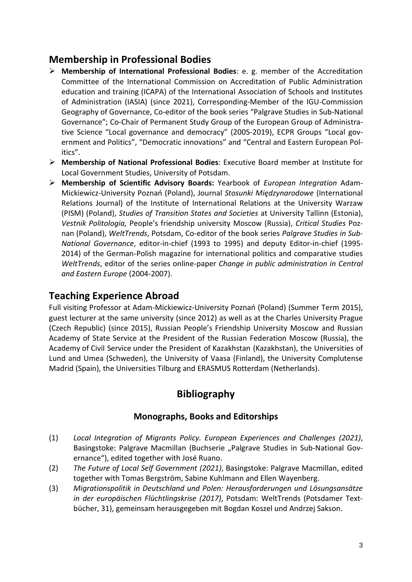# **Membership in Professional Bodies**

- ➢ **Membership of International Professional Bodies**: e. g. member of the Accreditation Committee of the International Commission on Accreditation of Public Administration education and training (ICAPA) of the International Association of Schools and Institutes of Administration (IASIA) (since 2021), Corresponding-Member of the IGU-Commission Geography of Governance, Co-editor of the book series "Palgrave Studies in Sub-National Governance"; Co-Chair of Permanent Study Group of the European Group of Administrative Science "Local governance and democracy" (2005-2019), ECPR Groups "Local government and Politics", "Democratic innovations" and "Central and Eastern European Politics".
- ➢ **Membership of National Professional Bodies**: Executive Board member at Institute for Local Government Studies, University of Potsdam.
- ➢ **Membership of Scientific Advisory Boards:** Yearbook of *European Integration* Adam-Mickiewicz-University Poznań (Poland), Journal *Stosunki Międzynarodowe* (International Relations Journal) of the Institute of International Relations at the University Warzaw (PISM) (Poland), *Studies of Transition States and Societies* at University Tallinn (Estonia), *Vestnik Politologia,* People's friendship university Moscow (Russia), *Critical Studies* Poznan (Poland), *WeltTrends*, Potsdam, Co-editor of the book series *Palgrave Studies in Sub-National Governance*, editor-in-chief (1993 to 1995) and deputy Editor-in-chief (1995- 2014) of the German-Polish magazine for international politics and comparative studies *WeltTrends*, editor of the series online-paper *Change in public administration in Central and Eastern Europe* (2004-2007).

# **Teaching Experience Abroad**

Full visiting Professor at Adam-Mickiewicz-University Poznań (Poland) (Summer Term 2015), guest lecturer at the same university (since 2012) as well as at the Charles University Prague (Czech Republic) (since 2015), Russian People's Friendship University Moscow and Russian Academy of State Service at the President of the Russian Federation Moscow (Russia), the Academy of Civil Service under the President of Kazakhstan (Kazakhstan), the Universities of Lund and Umea (Schweden), the University of Vaasa (Finland), the University Complutense Madrid (Spain), the Universities Tilburg and ERASMUS Rotterdam (Netherlands).

# **Bibliography**

### **Monographs, Books and Editorships**

- (1) *Local Integration of Migrants Policy. European Experiences and Challenges (2021)*, Basingstoke: Palgrave Macmillan (Buchserie "Palgrave Studies in Sub-National Governance"), edited together with José Ruano.
- (2) *The Future of Local Self Government (2021)*, Basingstoke: Palgrave Macmillan, edited together with Tomas Bergström, Sabine Kuhlmann and Ellen Wayenberg.
- (3) *Migrationspolitik in [Deutschland](https://opac.ub.uni-potsdam.de/DB=1/SET=1/TTL=5/MAT=/NOMAT=T/CLK?IKT=1016&TRM=Deutschland) und [Polen:](https://opac.ub.uni-potsdam.de/DB=1/SET=1/TTL=5/MAT=/NOMAT=T/CLK?IKT=1016&TRM=Polen) [Herausforderungen](https://opac.ub.uni-potsdam.de/DB=1/SET=1/TTL=5/MAT=/NOMAT=T/CLK?IKT=1016&TRM=Herausforderungen) und [Lösungsansätze](https://opac.ub.uni-potsdam.de/DB=1/SET=1/TTL=5/MAT=/NOMAT=T/CLK?IKT=1016&TRM=Lo%CC%88sungsansa%CC%88tze) in der [europäischen](https://opac.ub.uni-potsdam.de/DB=1/SET=1/TTL=5/MAT=/NOMAT=T/CLK?IKT=1016&TRM=europa%CC%88ischen) [Flüchtlingskrise](https://opac.ub.uni-potsdam.de/DB=1/SET=1/TTL=5/MAT=/NOMAT=T/CLK?IKT=1016&TRM=Flu%CC%88chtlingskrise) (2017)*, Potsdam: WeltTrends (Potsdamer Textbücher, 31), gemeinsam herausgegeben mit Bogdan [Koszel](https://opac.ub.uni-potsdam.de/DB=1/SET=1/TTL=5/MAT=/NOMAT=T/CLK?IKT=1016&TRM=Koszel) und [Andrzej](https://opac.ub.uni-potsdam.de/DB=1/SET=1/TTL=5/MAT=/NOMAT=T/CLK?IKT=1016&TRM=Andrzej) [Sakson.](https://opac.ub.uni-potsdam.de/DB=1/SET=1/TTL=5/MAT=/NOMAT=T/CLK?IKT=1016&TRM=Sakson)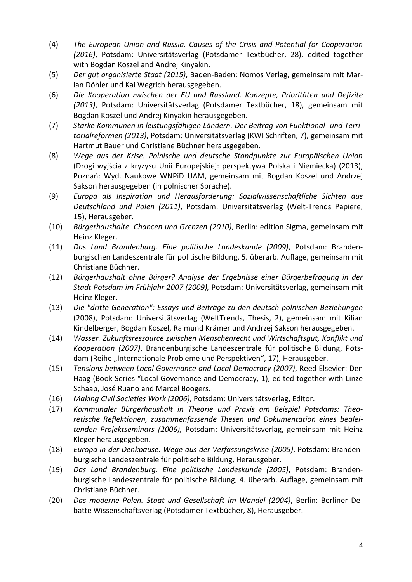- (4) *The European Union and Russia. Causes of the Crisis and Potential for Cooperation (2016)*, Potsdam: Universitätsverlag (Potsdamer Textbücher, 28), edited together with Bogdan Koszel and Andrej Kinyakin.
- (5) *Der gut organisierte Staat (2015)*, Baden-Baden: Nomos Verlag, gemeinsam mit Marian Döhler und Kai Wegrich herausgegeben.
- (6) *Die Kooperation zwischen der EU und Russland. Konzepte, Prioritäten und Defizite (2013)*, Potsdam: Universitätsverlag (Potsdamer Textbücher, 18), gemeinsam mit Bogdan Koszel und Andrej Kinyakin herausgegeben.
- (7) *Starke Kommunen in leistungsfähigen Ländern. Der Beitrag von Funktional- und Territorialreformen (2013)*, Potsdam: Universitätsverlag (KWI Schriften, 7), gemeinsam mit Hartmut Bauer und Christiane Büchner herausgegeben.
- (8) *Wege aus der Krise. Polnische und deutsche Standpunkte zur Europäischen Union* (Drogi [wyjś](https://opac.ub.uni-potsdam.de/DB=1/SET=2/TTL=17/MAT=/NOMAT=T/CLK?IKT=1016&TRM=wyjs%CC%81cia)cia [z](https://opac.ub.uni-potsdam.de/DB=1/SET=2/TTL=17/MAT=/NOMAT=T/CLK?IKT=1016&TRM=z) [kryzysu](https://opac.ub.uni-potsdam.de/DB=1/SET=2/TTL=17/MAT=/NOMAT=T/CLK?IKT=1016&TRM=kryzysu) [Unii](https://opac.ub.uni-potsdam.de/DB=1/SET=2/TTL=17/MAT=/NOMAT=T/CLK?IKT=1016&TRM=Unii) [Europejskiej:](https://opac.ub.uni-potsdam.de/DB=1/SET=2/TTL=17/MAT=/NOMAT=T/CLK?IKT=1016&TRM=Europejskiej) [perspektywa](https://opac.ub.uni-potsdam.de/DB=1/SET=2/TTL=17/MAT=/NOMAT=T/CLK?IKT=1016&TRM=perspektywa) [Polska](https://opac.ub.uni-potsdam.de/DB=1/SET=2/TTL=17/MAT=/NOMAT=T/CLK?IKT=1016&TRM=Polska) i [Niemiecka\)](https://opac.ub.uni-potsdam.de/DB=1/SET=2/TTL=17/MAT=/NOMAT=T/CLK?IKT=1016&TRM=Niemiecka) (2013), Poznań: Wyd. Naukowe WNPiD UAM, gemeinsam mit Bogdan Koszel und Andrzej Sakson herausgegeben (in polnischer Sprache).
- (9) *Europa als Inspiration und Herausforderung: Sozialwissenschaftliche Sichten aus Deutschland und Polen (2011)*, Potsdam: Universitätsverlag (Welt-Trends Papiere, 15), Herausgeber.
- (10) *Bürgerhaushalte. Chancen und Grenzen (2010)*, Berlin: edition Sigma, gemeinsam mit Heinz Kleger.
- (11) *Das Land Brandenburg. Eine politische Landeskunde (2009)*, Potsdam: Brandenburgischen Landeszentrale für politische Bildung, 5. überarb. Auflage, gemeinsam mit Christiane Büchner.
- (12) *Bürgerhaushalt ohne Bürger? Analyse der Ergebnisse einer Bürgerbefragung in der Stadt Potsdam im Frühjahr 2007 (2009),* Potsdam: Universitätsverlag, gemeinsam mit Heinz Kleger.
- (13) *Die "dritte Generation": Essays und Beiträge zu den deutsch-polnischen Beziehungen* (2008), Potsdam: Universitätsverlag (WeltTrends, Thesis, 2), gemeinsam mit Kilian Kindelberger, Bogdan Koszel, Raimund Krämer und Andrzej Sakson herausgegeben.
- (14) *Wasser. Zukunftsressource zwischen Menschenrecht und Wirtschaftsgut, Konflikt und Kooperation (2007)*, Brandenburgische Landeszentrale für politische Bildung, Potsdam (Reihe "Internationale Probleme und Perspektiven", 17), Herausgeber.
- (15) *Tensions between Local Governance and Local Democracy (2007)*, Reed Elsevier: Den Haag (Book Series "Local Governance and Democracy, 1), edited together with Linze Schaap, José Ruano and Marcel Boogers.
- (16) *Making Civil Societies Work (2006)*, Potsdam: Universitätsverlag, Editor.
- (17) *Kommunaler Bürgerhaushalt in Theorie und Praxis am Beispiel Potsdams: Theoretische Reflektionen, zusammenfassende Thesen und Dokumentation eines begleitenden Projektseminars (2006),* Potsdam: Universitätsverlag, gemeinsam mit Heinz Kleger herausgegeben.
- (18) *Europa in der Denkpause. Wege aus der Verfassungskrise (2005)*, Potsdam: Brandenburgische Landeszentrale für politische Bildung, Herausgeber.
- (19) *Das Land Brandenburg. Eine politische Landeskunde (2005)*, Potsdam: Brandenburgische Landeszentrale für politische Bildung, 4. überarb. Auflage, gemeinsam mit Christiane Büchner.
- (20) *Das moderne Polen. Staat und Gesellschaft im Wandel (2004)*, Berlin: Berliner Debatte Wissenschaftsverlag (Potsdamer Textbücher, 8), Herausgeber.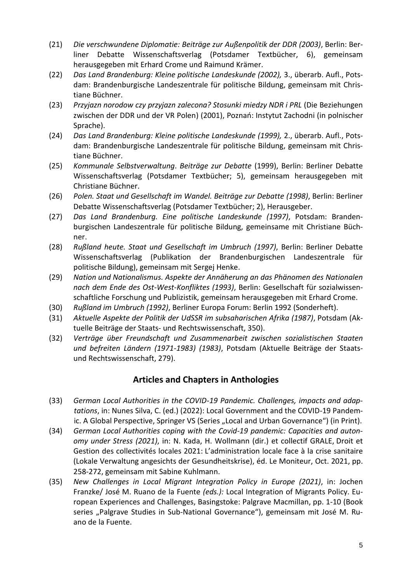- (21) *Die verschwundene Diplomatie: Beiträge zur Außenpolitik der DDR (2003)*, Berlin: Berliner Debatte Wissenschaftsverlag (Potsdamer Textbücher, 6), gemeinsam herausgegeben mit Erhard Crome und Raimund Krämer.
- (22) *Das Land Brandenburg: Kleine politische Landeskunde (2002),* 3., überarb. Aufl., Potsdam: Brandenburgische Landeszentrale für politische Bildung, gemeinsam mit Christiane Büchner.
- (23) *Przyjazn norodow czy przyjazn zalecona? Stosunki miedzy NDR i PRL* (Die Beziehungen zwischen der DDR und der VR Polen) (2001), Poznań: Instytut Zachodni (in polnischer Sprache).
- (24) *Das Land Brandenburg: Kleine politische Landeskunde (1999),* 2., überarb. Aufl., Potsdam: Brandenburgische Landeszentrale für politische Bildung, gemeinsam mit Christiane Büchner.
- (25) *Kommunale Selbstverwaltung*. *Beiträge zur Debatte* (1999), Berlin: Berliner Debatte Wissenschaftsverlag (Potsdamer Textbücher; 5), gemeinsam herausgegeben mit Christiane Büchner.
- (26) *Polen. Staat und Gesellschaft im Wandel. Beiträge zur Debatte (1998)*, Berlin: Berliner Debatte Wissenschaftsverlag (Potsdamer Textbücher; 2), Herausgeber.
- (27) *Das Land Brandenburg. Eine politische Landeskunde (1997)*, Potsdam: Brandenburgischen Landeszentrale für politische Bildung, gemeinsame mit Christiane Büchner.
- (28) *Rußland heute. Staat und Gesellschaft im Umbruch (1997)*, Berlin: Berliner Debatte Wissenschaftsverlag (Publikation der Brandenburgischen Landeszentrale für politische Bildung), gemeinsam mit Sergej Henke.
- (29) *Nation und Nationalismus. Aspekte der Annäherung an das Phänomen des Nationalen nach dem Ende des Ost-West-Konfliktes (1993)*, Berlin: Gesellschaft für sozialwissenschaftliche Forschung und Publizistik, gemeinsam herausgegeben mit Erhard Crome.
- (30) *Rußland im Umbruch (1992)*, Berliner Europa Forum: Berlin 1992 (Sonderheft).
- (31) *Aktuelle Aspekte der Politik der UdSSR im subsaharischen Afrika (1987)*, Potsdam (Aktuelle Beiträge der Staats- und Rechtswissenschaft, 350).
- (32) *Verträge über Freundschaft und Zusammenarbeit zwischen sozialistischen Staaten und befreiten Ländern (1971-1983) (1983)*, Potsdam (Aktuelle Beiträge der Staatsund Rechtswissenschaft, 279).

### **Articles and Chapters in Anthologies**

- (33) *German Local Authorities in the COVID-19 Pandemic. Challenges, impacts and adaptations*, in: Nunes Silva, C. (ed.) (2022): Local Government and the COVID-19 Pandem-ic. A Global Perspective, Springer VS (Series "[Local and Urban Governance](https://www.springer.com/series/16129)") (in Print).
- (34) *German Local Authorities coping with the Covid-19 pandemic: Capacities and autonomy under Stress (2021)*, in: N. Kada, H. Wollmann (dir.) et collectif GRALE, Droit et Gestion des collectivités locales 2021: L'administration locale face à la crise sanitaire (Lokale Verwaltung angesichts der Gesundheitskrise), éd. Le Moniteur, Oct. 2021, pp. 258-272, gemeinsam mit Sabine Kuhlmann.
- (35) *New Challenges in Local Migrant Integration Policy in Europe (2021)*, in: Jochen Franzke/ José M. Ruano de la Fuente *(eds.):* Local Integration of Migrants Policy. European Experiences and Challenges, Basingstoke: Palgrave Macmillan, pp. 1-10 (Book series "Palgrave Studies in Sub-National Governance"), gemeinsam mit José M. Ruano de la Fuente.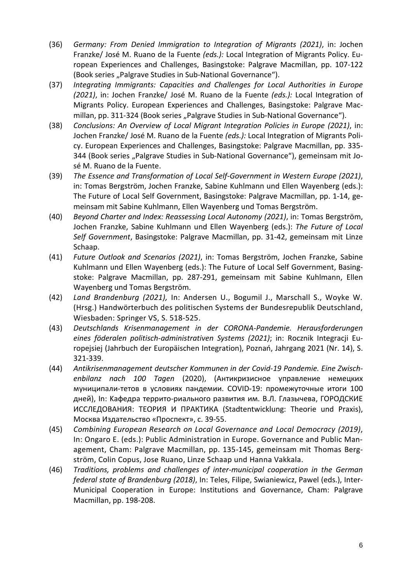- (36) *Germany: From Denied Immigration to Integration of Migrants (2021)*, in: Jochen Franzke/ José M. Ruano de la Fuente *(eds.):* Local Integration of Migrants Policy. European Experiences and Challenges, Basingstoke: Palgrave Macmillan, pp. 107-122 (Book series "Palgrave Studies in Sub-National Governance").
- (37) *Integrating Immigrants: Capacities and Challenges for Local Authorities in Europe (2021)*, in: Jochen Franzke/ José M. Ruano de la Fuente *(eds.):* Local Integration of Migrants Policy. European Experiences and Challenges, Basingstoke: Palgrave Macmillan, pp. 311-324 (Book series "Palgrave Studies in Sub-National Governance").
- (38) *Conclusions: An Overview of Local Migrant Integration Policies in Europe (2021)*, in: Jochen Franzke/ José M. Ruano de la Fuente *(eds.):* Local Integration of Migrants Policy. European Experiences and Challenges, Basingstoke: Palgrave Macmillan, pp. 335- 344 (Book series "Palgrave Studies in Sub-National Governance"), gemeinsam mit José M. Ruano de la Fuente.
- (39) *[The Essence and Transformation of Local Self-Government in Western Europe](https://link.springer.com/chapter/10.1007/978-3-030-56059-1_1) (2021)*, in: Tomas Bergström, Jochen Franzke, Sabine Kuhlmann und Ellen Wayenberg (eds.): The Future of Local Self Government, Basingstoke: Palgrave Macmillan, pp. 1-14, gemeinsam mit Sabine Kuhlmann, Ellen Wayenberg und Tomas Bergström.
- (40) *[Beyond Charter and Index: Reassessing Local Autonomy](https://link.springer.com/chapter/10.1007/978-3-030-56059-1_3) (2021)*, in: Tomas Bergström, Jochen Franzke, Sabine Kuhlmann und Ellen Wayenberg (eds.): *The Future of Local Self Government*, Basingstoke: Palgrave Macmillan, pp. 31-42, gemeinsam mit Linze Schaap.
- (41) *[Future Outlook and Scenarios](https://link.springer.com/chapter/10.1007/978-3-030-56059-1_20) (2021)*, in: Tomas Bergström, Jochen Franzke, Sabine Kuhlmann und Ellen Wayenberg (eds.): The Future of Local Self Government, Basingstoke: Palgrave Macmillan, pp. 287-291, gemeinsam mit Sabine Kuhlmann, Ellen Wayenberg und Tomas Bergström.
- (42) *Land Brandenburg (2021),* In: Andersen U., Bogumil J., Marschall S., Woyke W. (Hrsg.) Handwörterbuch des politischen Systems der Bundesrepublik Deutschland, Wiesbaden: Springer VS, S. 518-525.
- (43) *Deutschlands Krisenmanagement in der CORONA-Pandemie. Herausforderungen eines föderalen politisch-administrativen Systems (2021)*; in: Rocznik Integracji Europejsiej (Jahrbuch der Europäischen Integration), Poznań, Jahrgang 2021 (Nr. 14), S. 321-339.
- (44) *Antikrisenmanagement deutscher Kommunen in der Covid-19 Pandemie. Eine Zwischenbilanz nach 100 Tagen* (2020), (Антикризисное управление немецких муниципали-тетов в условиях пандемии. COVID-19: промежуточные итоги 100 дней), In: Kафедрa террито-риального развития им. В.Л. Глазычева, ГОРОДСКИЕ ИССЛЕДОВАНИЯ: ТЕОРИЯ И ПРАКТИКА (Stadtentwicklung: Theorie und Praxis), Москва Издательство «Проспект», c. 39-55.
- (45) *Combining European Research on Local Governance and Local Democracy (2019)*, In: Ongaro E. (eds.): Public Administration in Europe. Governance and Public Management, Cham: Palgrave Macmillan, pp. 135-145, gemeinsam mit Thomas Bergström, Colin Copus, Jose Ruano, Linze Schaap und Hanna Vakkala.
- (46) *Traditions, problems and challenges of inter-municipal cooperation in the German federal state of Brandenburg (2018)*, In: [Teles, Filipe,](https://opac.ub.uni-potsdam.de/DB=1/SET=1/TTL=4/MAT=/NOMAT=T/REL?PPN=846224755) [Swianiewicz, Pawel \(eds.\),](https://opac.ub.uni-potsdam.de/DB=1/SET=1/TTL=4/MAT=/NOMAT=T/REL?PPN=846224755) Inter-[Municipal](https://opac.ub.uni-potsdam.de/DB=1/SET=1/TTL=4/MAT=/NOMAT=T/REL?PPN=846224755) [Cooperation](https://opac.ub.uni-potsdam.de/DB=1/SET=1/TTL=4/MAT=/NOMAT=T/CLK?IKT=1016&TRM=Cooperation) in [Europe:](https://opac.ub.uni-potsdam.de/DB=1/SET=1/TTL=4/MAT=/NOMAT=T/CLK?IKT=1016&TRM=Europe) [Institutions](https://opac.ub.uni-potsdam.de/DB=1/SET=1/TTL=4/MAT=/NOMAT=T/CLK?IKT=1016&TRM=Institutions) and [Governance,](https://opac.ub.uni-potsdam.de/DB=1/SET=1/TTL=4/MAT=/NOMAT=T/CLK?IKT=1016&TRM=Governance) Cham: Palgrave Macmillan, pp. 198-208.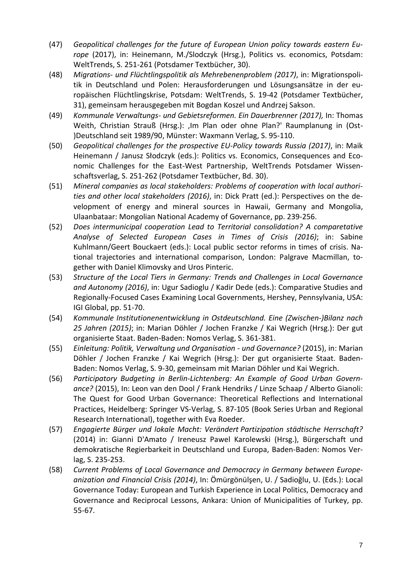- (47) *Geopolitical challenges for the future of European Union policy towards eastern Europe* (2017), in: Heinemann, M./Slodczyk (Hrsg.), Politics vs. economics, Potsdam: WeltTrends, S. 251-261 (Potsdamer Textbücher, 30).
- (48) *Migrations- und Flüchtlingspolitik als Mehrebenenproblem (2017)*, in: Migrationspolitik in [Deutschland](https://opac.ub.uni-potsdam.de/DB=1/SET=1/TTL=5/MAT=/NOMAT=T/CLK?IKT=1016&TRM=Deutschland) und [Polen:](https://opac.ub.uni-potsdam.de/DB=1/SET=1/TTL=5/MAT=/NOMAT=T/CLK?IKT=1016&TRM=Polen) [Herausforderungen](https://opac.ub.uni-potsdam.de/DB=1/SET=1/TTL=5/MAT=/NOMAT=T/CLK?IKT=1016&TRM=Herausforderungen) und [Lösungsansätze](https://opac.ub.uni-potsdam.de/DB=1/SET=1/TTL=5/MAT=/NOMAT=T/CLK?IKT=1016&TRM=Lo%CC%88sungsansa%CC%88tze) in der [eu](https://opac.ub.uni-potsdam.de/DB=1/SET=1/TTL=5/MAT=/NOMAT=T/CLK?IKT=1016&TRM=europa%CC%88ischen)[ropäischen](https://opac.ub.uni-potsdam.de/DB=1/SET=1/TTL=5/MAT=/NOMAT=T/CLK?IKT=1016&TRM=europa%CC%88ischen) [Flüchtlingskrise,](https://opac.ub.uni-potsdam.de/DB=1/SET=1/TTL=5/MAT=/NOMAT=T/CLK?IKT=1016&TRM=Flu%CC%88chtlingskrise) Potsdam: WeltTrends, S. 19-42 (Potsdamer Textbücher, 31), gemeinsam herausgegeben mit Bogdan [Koszel](https://opac.ub.uni-potsdam.de/DB=1/SET=1/TTL=5/MAT=/NOMAT=T/CLK?IKT=1016&TRM=Koszel) und [Andrzej](https://opac.ub.uni-potsdam.de/DB=1/SET=1/TTL=5/MAT=/NOMAT=T/CLK?IKT=1016&TRM=Andrzej) [Sakson.](https://opac.ub.uni-potsdam.de/DB=1/SET=1/TTL=5/MAT=/NOMAT=T/CLK?IKT=1016&TRM=Sakson)
- (49) *Kommunale Verwaltungs- und Gebietsreformen. Ein Dauerbrenner (2017),* In: Thomas Weith, Christian Strauß (Hrsg.): , Im Plan oder ohne Plan?' Raumplanung in (Ost-)Deutschland seit 1989/90, Münster: Waxmann Verlag, S. 95-110.
- (50) *Geopolitical challenges for the prospective EU-Policy towards Russia (2017)*, in: Maik Heinemann / Janusz Słodczyk (eds.): Politics vs. Economics, Consequences and Economic Challenges for the East-West Partnership, WeltTrends Potsdamer Wissenschaftsverlag, S. 251-262 (Potsdamer Textbücher, Bd. 30).
- (51) *Mineral companies as local stakeholders: [Problems of cooperation with local authori](http://sites.socialsciences.manoa.hawaii.edu/css/demr2015/_papers/franzke-jochen.pdf)[ties](http://sites.socialsciences.manoa.hawaii.edu/css/demr2015/_papers/franzke-jochen.pdf) and other local stakeholders (2016)*, in: Dick Pratt (ed.): Perspectives on the development of energy and mineral sources in Hawaii, Germany and Mongolia, Ulaanbataar: Mongolian National Academy of Governance, pp. 239-256.
- (52) *Does intermunicipal cooperation Lead to Territorial consolidation? A comparetative Analyse of Selected European Cases in Times of Crisis (2016)*; in: Sabine Kuhlmann/Geert Bouckaert (eds.): Local public sector reforms in times of crisis. National trajectories and international comparison, London: Palgrave Macmillan, together with Daniel Klimovsky and Uros Pinteric.
- (53) *Structure of the Local Tiers in Germany: Trends and Challenges in Local Governance and Autonomy (2016)*, in: Ugur Sadioglu / Kadir Dede (eds.): Comparative Studies and Regionally-Focused Cases Examining Local Governments, Hershey, Pennsylvania, USA: IGI Global, pp. 51-70.
- (54) *Kommunale Institutionenentwicklung in Ostdeutschland. Eine (Zwischen-)Bilanz nach 25 Jahren (2015)*; in: Marian Döhler / Jochen Franzke / Kai Wegrich (Hrsg.): Der gut organisierte Staat. Baden-Baden: Nomos Verlag, S. 361-381.
- (55) *Einleitung: Politik, Verwaltung und Organisation - und Governance?* (2015), in: Marian Döhler / Jochen Franzke / Kai Wegrich (Hrsg.): Der gut organisierte Staat. Baden-Baden: Nomos Verlag, S. 9-30, gemeinsam mit Marian Döhler und Kai Wegrich.
- (56) *Participatory Budgeting in Berlin-Lichtenberg: An Example of Good Urban Governance?* (2015), In: Leon van den Dool / Frank Hendriks / Linze Schaap / Alberto Gianoli: The Quest for Good Urban Governance: Theoretical Reflections and International Practices, Heidelberg: Springer VS-Verlag, S. 87-105 (Book Series Urban and Regional Research International), together with Eva Roeder.
- (57) *Engagierte Bürger und lokale Macht: Verändert Partizipation städtische Herrschaft?* (2014) in: Gianni D'Amato / Ireneusz Pawel Karolewski (Hrsg.), Bürgerschaft und demokratische Regierbarkeit in Deutschland und Europa, Baden-Baden: Nomos Verlag, S. 235-253.
- (58) *Current Problems of Local Governance and Democracy in Germany between Europeanization and Financial Crisis (2014)*, In: Ömürgönülşen, U. / Sadioğlu, U. (Eds.): Local Governance Today: European and Turkish Experience in Local Politics, Democracy and Governance and Reciprocal Lessons, Ankara: Union of Municipalities of Turkey, pp. 55-67.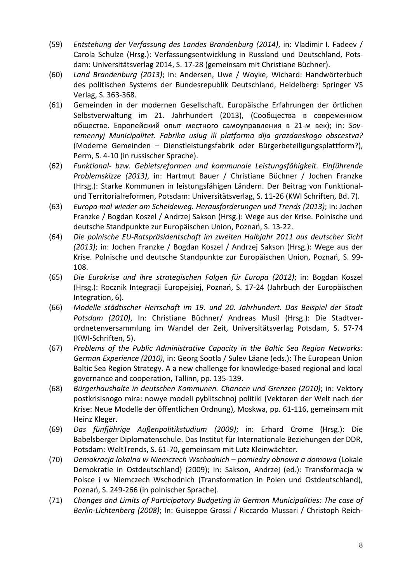- (59) *Entstehung der Verfassung des Landes Brandenburg (2014)*, in: Vladimir I. Fadeev / Carola Schulze (Hrsg.): Verfassungsentwicklung in Russland und Deutschland, Potsdam: Universitätsverlag 2014, S. 17-28 (gemeinsam mit Christiane Büchner).
- (60) *Land Brandenburg (2013)*; in: Andersen, Uwe / Woyke, Wichard: Handwörterbuch des politischen Systems der Bundesrepublik Deutschland, Heidelberg: Springer VS Verlag, S. 363-368.
- (61) Gemeinden in der modernen Gesellschaft. Europäische Erfahrungen der örtlichen Selbstverwaltung im 21. Jahrhundert (2013), (Сообщества в современном обществе. Европейский опыт местного самоуправления в 21-м век); in: *Sovremennyj Municipalitet. Fabrika uslug ili platforma dlja grazdanskogo obscestva?* (Moderne Gemeinden – Dienstleistungsfabrik oder Bürgerbeteiligungsplattform?), Perm, S. 4-10 (in russischer Sprache).
- (62) *Funktional- bzw. Gebietsreformen und kommunale Leistungsfähigkeit. Einführende Problemskizze (2013)*, in: Hartmut Bauer / Christiane Büchner / Jochen Franzke (Hrsg.): Starke Kommunen in leistungsfähigen Ländern. Der Beitrag von Funktionalund Territorialreformen, Potsdam: Universitätsverlag, S. 11-26 (KWI Schriften, Bd. 7).
- (63) *Europa mal wieder am Scheideweg. Herausforderungen und Trends (2013)*; in: Jochen Franzke / Bogdan Koszel / Andrzej Sakson (Hrsg.): Wege aus der Krise. Polnische und deutsche Standpunkte zur Europäischen Union, Poznań, S. 13-22.
- (64) *Die polnische EU-Ratspräsidentschaft im zweiten Halbjahr 2011 aus deutscher Sicht (2013)*; in: Jochen Franzke / Bogdan Koszel / Andrzej Sakson (Hrsg.): Wege aus der Krise. Polnische und deutsche Standpunkte zur Europäischen Union, Poznań, S. 99- 108.
- (65) *Die Eurokrise und ihre strategischen Folgen für Europa (2012)*; in: Bogdan Koszel (Hrsg.): Rocznik Integracji Europejsiej, Poznań, S. 17-24 (Jahrbuch der Europäischen Integration, 6).
- (66) *Modelle städtischer Herrschaft im 19. und 20. Jahrhundert. Das Beispiel der Stadt Potsdam (2010)*, In: Christiane Büchner/ Andreas Musil (Hrsg.): Die Stadtverordnetenversammlung im Wandel der Zeit, Universitätsverlag Potsdam, S. 57-74 (KWI-Schriften, 5).
- (67) *Problems of the Public Administrative Capacity in the Baltic Sea Region Networks: German Experience (2010)*, in: Georg Sootla / Sulev Läane (eds.): The European Union Baltic Sea Region Strategy. A a new challenge for knowledge-based regional and local governance and cooperation, Tallinn, pp. 135-139.
- (68) *Bürgerhaushalte in deutschen Kommunen. Chancen und Grenzen (2010)*; in: Vektory postkrisisnogo mira: nowye modeli pyblitschnoj politiki (Vektoren der Welt nach der Krise: Neue Modelle der öffentlichen Ordnung), Moskwa, pp. 61-116, gemeinsam mit Heinz Kleger.
- (69) *Das fünfjährige Außenpolitikstudium (2009)*; in: Erhard Crome (Hrsg.): Die Babelsberger Diplomatenschule. Das Institut für Internationale Beziehungen der DDR, Potsdam: WeltTrends, S. 61-70, gemeinsam mit Lutz Kleinwächter.
- (70) *Demokracja lokalna w Niemczech Wschodnich – pomiedzy obnowa a domowa* (Lokale Demokratie in Ostdeutschland) (2009); in: Sakson, Andrzej (ed.): Transformacja w Polsce i w Niemczech Wschodnich (Transformation in Polen und Ostdeutschland), Poznań, S. 249-266 (in polnischer Sprache).
- (71) *Changes and Limits of Participatory Budgeting in German Municipalities: The case of Berlin-Lichtenberg (2008)*; In: Guiseppe Grossi / Riccardo Mussari / Christoph Reich-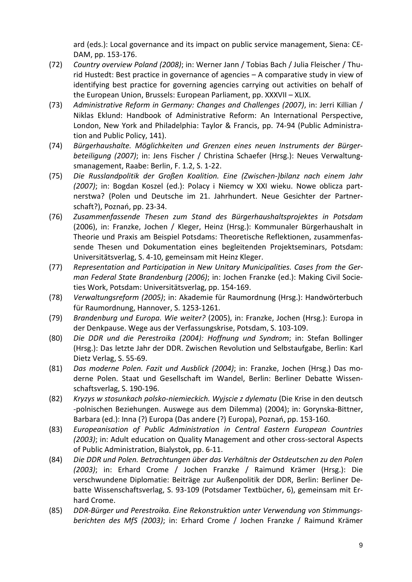ard (eds.): Local governance and its impact on public service management, Siena: CE-DAM, pp. 153-176.

- (72) *Country overview Poland (2008)*; in: Werner Jann / Tobias Bach / Julia Fleischer / Thurid Hustedt: Best practice in governance of agencies – A comparative study in view of identifying best practice for governing agencies carrying out activities on behalf of the European Union, Brussels: European Parliament, pp. XXXVII – XLIX.
- (73) *Administrative Reform in Germany: Changes and Challenges (2007)*, in: Jerri Killian / Niklas Eklund: Handbook of Administrative Reform: An International Perspective, London, New York and Philadelphia: Taylor & Francis, pp. 74-94 (Public Administration and Public Policy, 141).
- (74) *Bürgerhaushalte. Möglichkeiten und Grenzen eines neuen Instruments der Bürgerbeteiligung (2007)*; in: Jens Fischer / Christina Schaefer (Hrsg.): Neues Verwaltungsmanagement, Raabe: Berlin, F. 1.2, S. 1-22.
- (75) *Die Russlandpolitik der Großen Koalition. Eine (Zwischen-)bilanz nach einem Jahr (2007)*; in: Bogdan Koszel (ed.): Polacy i Niemcy w XXI wieku. Nowe oblicza partnerstwa? (Polen und Deutsche im 21. Jahrhundert. Neue Gesichter der Partnerschaft?), Poznań, pp. 23-34.
- (76) *Zusammenfassende Thesen zum Stand des Bürgerhaushaltsprojektes in Potsdam* (2006), in: Franzke, Jochen / Kleger, Heinz (Hrsg.): Kommunaler Bürgerhaushalt in Theorie und Praxis am Beispiel Potsdams: Theoretische Reflektionen, zusammenfassende Thesen und Dokumentation eines begleitenden Projektseminars, Potsdam: Universitätsverlag, S. 4-10, gemeinsam mit Heinz Kleger.
- (77) *Representation and Participation in New Unitary Municipalities. Cases from the German Federal State Brandenburg (2006)*; in: Jochen Franzke (ed.): Making Civil Societies Work, Potsdam: Universitätsverlag, pp. 154-169.
- (78) *Verwaltungsreform (2005)*; in: Akademie für Raumordnung (Hrsg.): Handwörterbuch für Raumordnung, Hannover, S. 1253-1261.
- (79) *Brandenburg und Europa. Wie weiter?* (2005), in: Franzke, Jochen (Hrsg.): Europa in der Denkpause. Wege aus der Verfassungskrise, Potsdam, S. 103-109.
- (80) *Die DDR und die Perestroika (2004): Hoffnung und Syndrom*; in: Stefan Bollinger (Hrsg.): Das letzte Jahr der DDR. Zwischen Revolution und Selbstaufgabe, Berlin: Karl Dietz Verlag, S. 55-69.
- (81) *Das moderne Polen. Fazit und Ausblick (2004)*; in: Franzke, Jochen (Hrsg.) Das moderne Polen. Staat und Gesellschaft im Wandel, Berlin: Berliner Debatte Wissenschaftsverlag, S. 190-196.
- (82) *Kryzys w stosunkach polsko-niemieckich. Wyjscie z dylematu* (Die Krise in den deutsch -polnischen Beziehungen. Auswege aus dem Dilemma) (2004); in: Gorynska-Bittner, Barbara (ed.): Inna (?) Europa (Das andere (?) Europa), Poznań, pp. 153-160.
- (83) *Europeanisation of Public Administration in Central Eastern European Countries (2003)*; in: Adult education on Quality Management and other cross-sectoral Aspects of Public Administration, Bialystok, pp. 6-11.
- (84) *Die DDR und Polen. Betrachtungen über das Verhältnis der Ostdeutschen zu den Polen (2003)*; in: Erhard Crome / Jochen Franzke / Raimund Krämer (Hrsg.): Die verschwundene Diplomatie: Beiträge zur Außenpolitik der DDR, Berlin: Berliner Debatte Wissenschaftsverlag, S. 93-109 (Potsdamer Textbücher, 6), gemeinsam mit Erhard Crome.
- (85) *DDR-Bürger und Perestroika. Eine Rekonstruktion unter Verwendung von Stimmungsberichten des MfS (2003)*; in: Erhard Crome / Jochen Franzke / Raimund Krämer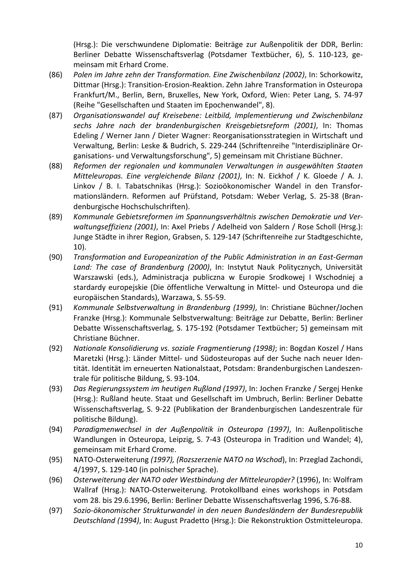(Hrsg.): Die verschwundene Diplomatie: Beiträge zur Außenpolitik der DDR, Berlin: Berliner Debatte Wissenschaftsverlag (Potsdamer Textbücher, 6), S. 110-123, gemeinsam mit Erhard Crome.

- (86) *Polen im Jahre zehn der Transformation. Eine Zwischenbilanz (2002)*, In: Schorkowitz, Dittmar (Hrsg.): Transition-Erosion-Reaktion. Zehn Jahre Transformation in Osteuropa Frankfurt/M., Berlin, Bern, Bruxelles, New York, Oxford, Wien: Peter Lang, S. 74-97 (Reihe "Gesellschaften und Staaten im Epochenwandel", 8).
- (87) *Organisationswandel auf Kreisebene: Leitbild, Implementierung und Zwischenbilanz sechs Jahre nach der brandenburgischen Kreisgebietsreform (2001)*, In: Thomas Edeling / Werner Jann / Dieter Wagner: Reorganisationsstrategien in Wirtschaft und Verwaltung, Berlin: Leske & Budrich, S. 229-244 (Schriftenreihe "Interdisziplinäre Organisations- und Verwaltungsforschung", 5) gemeinsam mit Christiane Büchner.
- (88) *Reformen der regionalen und kommunalen Verwaltungen in ausgewählten Staaten Mitteleuropas. Eine vergleichende Bilanz (2001)*, In: N. Eickhof / K. Gloede / A. J. Linkov / B. I. Tabatschnikas (Hrsg.): Sozioökonomischer Wandel in den Transformationsländern. Reformen auf Prüfstand, Potsdam: Weber Verlag, S. 25-38 (Brandenburgische Hochschulschriften).
- (89) *Kommunale Gebietsreformen im Spannungsverhältnis zwischen Demokratie und Verwaltungseffizienz (2001)*, In: Axel Priebs / Adelheid von Saldern / Rose Scholl (Hrsg.): Junge Städte in ihrer Region, Grabsen, S. 129-147 (Schriftenreihe zur Stadtgeschichte, 10).
- (90) *Transformation and Europeanization of the Public Administration in an East-German Land: The case of Brandenburg (2000)*, In: Instytut Nauk Politycznych, Universität Warszawski (eds.), Administracja publiczna w Europie Srodkowej I Wschodniej a stardardy europejskie (Die öffentliche Verwaltung in Mittel- und Osteuropa und die europäischen Standards), Warzawa, S. 55-59.
- (91) *Kommunale Selbstverwaltung in Brandenburg (1999)*, In: Christiane Büchner/Jochen Franzke (Hrsg.): Kommunale Selbstverwaltung: Beiträge zur Debatte, Berlin: Berliner Debatte Wissenschaftsverlag, S. 175-192 (Potsdamer Textbücher; 5) gemeinsam mit Christiane Büchner.
- (92) *Nationale Konsolidierung vs. soziale Fragmentierung (1998)*; in: Bogdan Koszel / Hans Maretzki (Hrsg.): Länder Mittel- und Südosteuropas auf der Suche nach neuer Identität. Identität im erneuerten Nationalstaat, Potsdam: Brandenburgischen Landeszentrale für politische Bildung, S. 93-104.
- (93) *Das Regierungssystem im heutigen Rußland (1997)*, In: Jochen Franzke / Sergej Henke (Hrsg.): Rußland heute. Staat und Gesellschaft im Umbruch, Berlin: Berliner Debatte Wissenschaftsverlag, S. 9-22 (Publikation der Brandenburgischen Landeszentrale für politische Bildung).
- (94) *Paradigmenwechsel in der Außenpolitik in Osteuropa (1997)*, In: Außenpolitische Wandlungen in Osteuropa, Leipzig, S. 7-43 (Osteuropa in Tradition und Wandel; 4), gemeinsam mit Erhard Crome.
- (95) NATO-Osterweiterung *(1997), (Rozszerzenie NATO na Wschod*), In: Przeglad Zachondi, 4/1997, S. 129-140 (in polnischer Sprache).
- (96) *Osterweiterung der NATO oder Westbindung der Mitteleuropäer?* (1996), In: Wolfram Wallraf (Hrsg.): NATO-Osterweiterung. Protokollband eines workshops in Potsdam vom 28. bis 29.6.1996, Berlin: Berliner Debatte Wissenschaftsverlag 1996, S.76-88.
- (97) *Sozio-ökonomischer Strukturwandel in den neuen Bundesländern der Bundesrepublik Deutschland (1994)*, In: August Pradetto (Hrsg.): Die Rekonstruktion Ostmitteleuropa.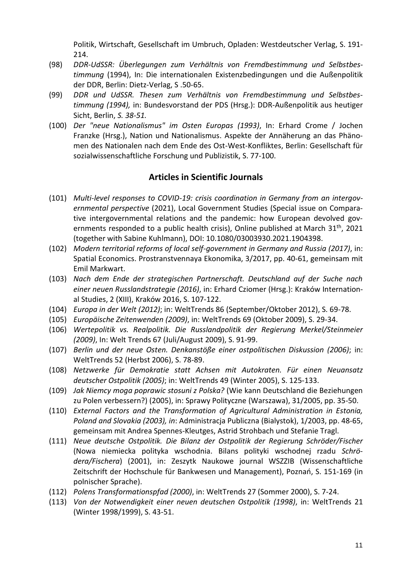Politik, Wirtschaft, Gesellschaft im Umbruch, Opladen: Westdeutscher Verlag, S. 191- 214.

- (98) *DDR-UdSSR: Überlegungen zum Verhältnis von Fremdbestimmung und Selbstbestimmung* (1994), In: Die internationalen Existenzbedingungen und die Außenpolitik der DDR, Berlin: Dietz-Verlag, S .50-65.
- (99) *DDR und UdSSR. Thesen zum Verhältnis von Fremdbestimmung und Selbstbestimmung (1994),* in: Bundesvorstand der PDS (Hrsg.): DDR-Außenpolitik aus heutiger Sicht, Berlin, *S. 38-51.*
- (100) *Der "neue Nationalismus" im Osten Europas (1993)*, In: Erhard Crome / Jochen Franzke (Hrsg.), Nation und Nationalismus. Aspekte der Annäherung an das Phänomen des Nationalen nach dem Ende des Ost-West-Konfliktes, Berlin: Gesellschaft für sozialwissenschaftliche Forschung und Publizistik, S. 77-100.

#### **Articles in Scientific Journals**

- (101) *[Multi-level responses to COVID-19: crisis coordination in Germany from an intergov](https://www.tandfonline.com/doi/full/10.1080/03003930.2021.1904398)[ernmental perspective](https://www.tandfonline.com/doi/full/10.1080/03003930.2021.1904398)* (2021), [Local Government Studies](https://www.tandfonline.com/toc/flgs20/current) (Special issue on Comparative intergovernmental relations and the pandemic: how European devolved governments responded to a public health crisis), Online published at March 31<sup>th</sup>, 2021 (together with [Sabine Kuhlmann\)](https://www.tandfonline.com/author/Kuhlmann%2C+Sabine), DOI: [10.1080/03003930.2021.1904398.](https://doi.org/10.1080/03003930.2021.1904398)
- (102) *[Modern territorial reforms of local self-government in Germany and Russia](https://ideas.repec.org/a/far/spaeco/y2017i3p40-61.html) (2017)*, in: Spatial Economics. [Prostranstvennaya Ekonomika,](https://ideas.repec.org/s/far/spaeco.html) 3/2017, pp. 40-61, gemeinsam mit Emil Markwart.
- (103) *Nach dem Ende der strategischen Partnerschaft. Deutschland auf der Suche nach einer neuen Russlandstrategie (2016)*, in: Erhard Cziomer (Hrsg.): Kraków International Studies, 2 (XIII), Kraków 2016, S. 107-122.
- (104) *Europa in der Welt (2012)*; in: WeltTrends 86 (September/Oktober 2012), S. 69-78.
- (105) *Europäische Zeitenwenden (2009)*, in: WeltTrends 69 (Oktober 2009), S. 29-34.
- (106) *Wertepolitik vs. Realpolitik. Die Russlandpolitik der Regierung Merkel/Steinmeier (2009)*, In: Welt Trends 67 (Juli/August 2009), S. 91-99.
- (107) *Berlin und der neue Osten. Denkanstöße einer ostpolitischen Diskussion (2006)*; in: WeltTrends 52 (Herbst 2006), S. 78-89.
- (108) *Netzwerke für Demokratie statt Achsen mit Autokraten. Für einen Neuansatz deutscher Ostpolitik (2005)*; in: WeltTrends 49 (Winter 2005), S. 125-133.
- (109) *Jak Niemcy moga poprawic stosuni z Polska?* (Wie kann Deutschland die Beziehungen zu Polen verbessern?) (2005), in: Sprawy Polityczne (Warszawa), 31/2005, pp. 35-50.
- (110) *External Factors and the Transformation of Agricultural Administration in Estonia, Poland and Slovakia (2003), in*: Administracja Publiczna (Bialystok), 1/2003, pp. 48-65, gemeinsam mit Andrea Spennes-Kleutges, Astrid Strohbach und Stefanie Tragl.
- (111) *Neue deutsche Ostpolitik. Die Bilanz der Ostpolitik der Regierung Schröder/Fischer* (Nowa niemiecka polityka wschodnia. Bilans polityki wschodnej rzadu *Schrödera/Fischera*) (2001), in: Zeszytk Naukowe journal WSZZIB (Wissenschaftliche Zeitschrift der Hochschule für Bankwesen und Management), Poznań, S. 151-169 (in polnischer Sprache).
- (112) *Polens Transformationspfad (2000)*, in: WeltTrends 27 (Sommer 2000), S. 7-24.
- (113) *Von der Notwendigkeit einer neuen deutschen Ostpolitik (1998)*, in: WeltTrends 21 (Winter 1998/1999), S. 43-51.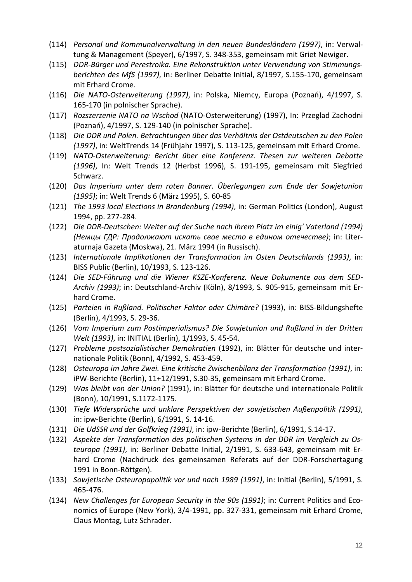- (114) *Personal und Kommunalverwaltung in den neuen Bundesländern (1997)*, in: Verwaltung & Management (Speyer), 6/1997, S. 348-353, gemeinsam mit Griet Newiger.
- (115) *DDR-Bürger und Perestroika. Eine Rekonstruktion unter Verwendung von Stimmungsberichten des MfS (1997)*, in: Berliner Debatte Initial, 8/1997, S.155-170, gemeinsam mit Erhard Crome.
- (116) *Die NATO-Osterweiterung (1997)*, in: Polska, Niemcy, Europa (Poznań), 4/1997, S. 165-170 (in polnischer Sprache).
- (117) *Rozszerzenie NATO na Wschod* (NATO-Osterweiterung) (1997), In: Przeglad Zachodni (Poznań), 4/1997, S. 129-140 (in polnischer Sprache).
- (118) *Die DDR und Polen. Betrachtungen über das Verhältnis der Ostdeutschen zu den Polen (1997)*, in: WeltTrends 14 (Frühjahr 1997), S. 113-125, gemeinsam mit Erhard Crome.
- (119) *NATO-Osterweiterung: Bericht über eine Konferenz. Thesen zur weiteren Debatte (1996)*, In: Welt Trends 12 (Herbst 1996), S. 191-195, gemeinsam mit Siegfried Schwarz.
- (120) *Das Imperium unter dem roten Banner. Überlegungen zum Ende der Sowjetunion (1995)*; in: Welt Trends 6 (März 1995), S. 60-85
- (121) *The 1993 local Elections in Brandenburg (1994)*, in: German Politics (London), August 1994, pp. 277-284.
- (122) *Die DDR-Deutschen: Weiter auf der Suche nach ihrem Platz im einig' Vaterland (1994) (Немцы ГДР: Продолжают искать свое место в едином отечестве)*; in: Literaturnaja Gazeta (Moskwa), 21. März 1994 (in Russisch).
- (123) *Internationale Implikationen der Transformation im Osten Deutschlands (1993)*, in: BISS Public (Berlin), 10/1993, S. 123-126.
- (124) *Die SED-Führung und die Wiener KSZE-Konferenz. Neue Dokumente aus dem SED-Archiv (1993)*; in: Deutschland-Archiv (Köln), 8/1993, S. 905-915, gemeinsam mit Erhard Crome.
- (125) *Parteien in Rußland. Politischer Faktor oder Chimäre?* (1993), in: BISS-Bildungshefte (Berlin), 4/1993, S. 29-36.
- (126) *Vom Imperium zum Postimperialismus? Die Sowjetunion und Rußland in der Dritten Welt (1993)*, in: INITIAL (Berlin), 1/1993, S. 45-54.
- (127) *Probleme postsozialistischer Demokratien* (1992), in: Blätter für deutsche und internationale Politik (Bonn), 4/1992, S. 453-459.
- (128) *Osteuropa im Jahre Zwei. Eine kritische Zwischenbilanz der Transformation (1991)*, in: iPW-Berichte (Berlin), 11+12/1991, S.30-35, gemeinsam mit Erhard Crome.
- (129) *Was bleibt von der Union?* (1991), in: Blätter für deutsche und internationale Politik (Bonn), 10/1991, S.1172-1175.
- (130) *Tiefe Widersprüche und unklare Perspektiven der sowjetischen Außenpolitik (1991)*, in: ipw-Berichte (Berlin), 6/1991, S. 14-16.
- (131) *Die UdSSR und der Golfkrieg (1991)*, in: ipw-Berichte (Berlin), 6/1991, S.14-17.
- (132) *Aspekte der Transformation des politischen Systems in der DDR im Vergleich zu Osteuropa (1991)*, in: Berliner Debatte Initial, 2/1991, S. 633-643, gemeinsam mit Erhard Crome (Nachdruck des gemeinsamen Referats auf der DDR-Forschertagung 1991 in Bonn-Röttgen).
- (133) *Sowjetische Osteuropapolitik vor und nach 1989 (1991)*, in: Initial (Berlin), 5/1991, S. 465-476.
- (134) *New Challenges for European Security in the 90s (1991)*; in: Current Politics and Economics of Europe (New York), 3/4-1991, pp. 327-331, gemeinsam mit Erhard Crome, Claus Montag, Lutz Schrader.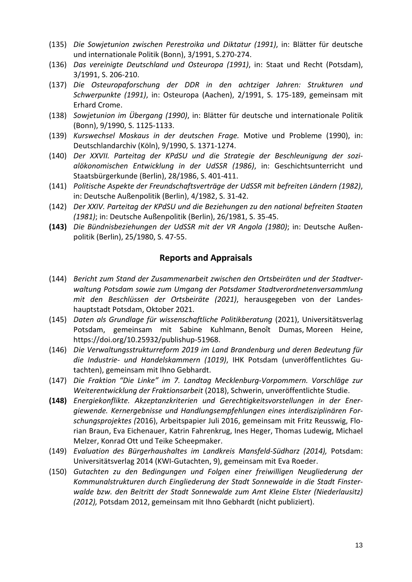- (135) *Die Sowjetunion zwischen Perestroika und Diktatur (1991)*, in: Blätter für deutsche und internationale Politik (Bonn), 3/1991, S.270-274.
- (136) *Das vereinigte Deutschland und Osteuropa (1991)*, in: Staat und Recht (Potsdam), 3/1991, S. 206-210.
- (137) *Die Osteuropaforschung der DDR in den achtziger Jahren: Strukturen und Schwerpunkte (1991)*, in: Osteuropa (Aachen), 2/1991, S. 175-189, gemeinsam mit Erhard Crome.
- (138) *Sowjetunion im Übergang (1990)*, in: Blätter für deutsche und internationale Politik (Bonn), 9/1990, S. 1125-1133.
- (139) *Kurswechsel Moskaus in der deutschen Frage.* Motive und Probleme (1990), in: Deutschlandarchiv (Köln), 9/1990, S. 1371-1274.
- (140) *Der XXVII. Parteitag der KPdSU und die Strategie der Beschleunigung der sozialökonomischen Entwicklung in der UdSSR (1986)*, in: Geschichtsunterricht und Staatsbürgerkunde (Berlin), 28/1986, S. 401-411.
- (141) *Politische Aspekte der Freundschaftsverträge der UdSSR mit befreiten Ländern (1982)*, in: Deutsche Außenpolitik (Berlin), 4/1982, S. 31-42.
- (142) *Der XXIV. Parteitag der KPdSU und die Beziehungen zu den national befreiten Staaten (1981)*; in: Deutsche Außenpolitik (Berlin), 26/1981, S. 35-45.
- **(143)** *Die Bündnisbeziehungen der UdSSR mit der VR Angola (1980)*; in: Deutsche Außenpolitik (Berlin), 25/1980, S. 47-55.

#### **Reports and Appraisals**

- (144) *Bericht zum Stand der Zusammenarbeit zwischen den Ortsbeiräten und der Stadtverwaltung Potsdam sowie zum Umgang der Potsdamer Stadtverordnetenversammlung mit den Beschlüssen der Ortsbeiräte (2021)*, herausgegeben von der Landeshauptstadt Potsdam, Oktober 2021.
- (145) *Daten als Grundlage für wissenschaftliche Politikberatung* (2021), Universitätsverlag Potsdam, gemeinsam mit [Sabine Kuhlmann,](https://publishup.uni-potsdam.de/solrsearch/index/search/searchtype/authorsearch/author/Sabine+Kuhlmann) [Benoît Dumas,](https://publishup.uni-potsdam.de/solrsearch/index/search/searchtype/authorsearch/author/Beno%C3%AEt+Dumas) [Moreen Heine,](https://publishup.uni-potsdam.de/solrsearch/index/search/searchtype/authorsearch/author/Moreen+Heine) [https://doi.org/10.25932/publishup-51968.](https://doi.org/10.25932/publishup-51968)
- (146) *Die Verwaltungsstrukturreform 2019 im Land Brandenburg und deren Bedeutung für die Industrie- und Handelskammern (1019)*, IHK Potsdam (unveröffentlichtes Gutachten), gemeinsam mit Ihno Gebhardt.
- (147) *Die Fraktion "Die Linke" im 7. Landtag Mecklenburg-Vorpommern. Vorschläge zur Weiterentwicklung der Fraktionsarbeit* (2018), Schwerin, unveröffentlichte Studie.
- **(148)** *Energiekonflikte. Akzeptanzkriterien und Gerechtigkeitsvorstellungen in der Energiewende. Kernergebnisse und Handlungsempfehlungen eines interdisziplinären Forschungsprojektes (*2016), Arbeitspapier Juli 2016, gemeinsam mit Fritz Reusswig, [Flo](https://www.researchgate.net/profile/Florian-Braun-3)rian [Braun,](https://www.researchgate.net/profile/Florian-Braun-3) Eva [Eichenauer,](https://www.researchgate.net/profile/Eva-Eichenauer) Katrin [Fahrenkrug,](https://www.researchgate.net/scientific-contributions/Katrin-Fahrenkrug-2010926337) Ines [Heger,](https://www.researchgate.net/scientific-contributions/Ines-Heger-2113047466) Thomas [Ludewig,](https://www.researchgate.net/scientific-contributions/Thomas-Ludewig-2113063906) [Michael](https://www.researchgate.net/scientific-contributions/Michael-Melzer-2010635982) [Melzer,](https://www.researchgate.net/scientific-contributions/Michael-Melzer-2010635982) [Konrad](https://www.researchgate.net/scientific-contributions/Konrad-Ott-2114921081) Ott und Teike [Scheepmaker.](https://www.researchgate.net/scientific-contributions/Teike-Scheepmaker-2114955603)
- (149) *Evaluation des Bürgerhaushaltes im Landkreis Mansfeld-Südharz (2014),* Potsdam: Universitätsverlag 2014 (KWI-Gutachten, 9), gemeinsam mit Eva Roeder.
- (150) *Gutachten zu den Bedingungen und Folgen einer freiwilligen Neugliederung der Kommunalstrukturen durch Eingliederung der Stadt Sonnewalde in die Stadt Finsterwalde bzw. den Beitritt der Stadt Sonnewalde zum Amt Kleine Elster (Niederlausitz) (2012),* Potsdam 2012, gemeinsam mit Ihno Gebhardt (nicht publiziert).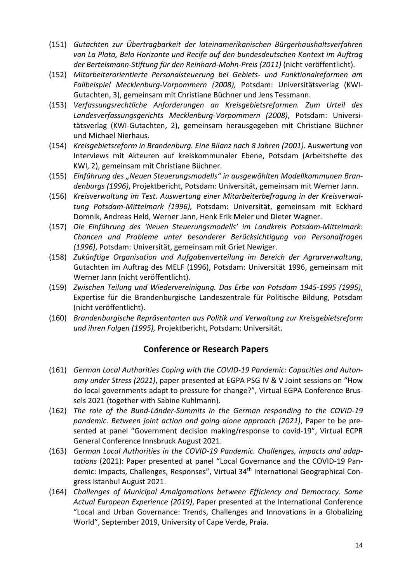- (151) *Gutachten zur Übertragbarkeit der lateinamerikanischen Bürgerhaushaltsverfahren von La Plata, Belo Horizonte und Recife auf den bundesdeutschen Kontext im Auftrag der Bertelsmann-Stiftung für den Reinhard-Mohn-Preis (2011)* (nicht veröffentlicht).
- (152) *Mitarbeiterorientierte Personalsteuerung bei Gebiets- und Funktionalreformen am Fallbeispiel Mecklenburg-Vorpommern (2008),* Potsdam: Universitätsverlag (KWI-Gutachten, 3), gemeinsam mit Christiane Büchner und Jens Tessmann.
- (153) *Verfassungsrechtliche Anforderungen an Kreisgebietsreformen. Zum Urteil des Landesverfassungsgerichts Mecklenburg-Vorpommern (2008)*, Potsdam: Universitätsverlag (KWI-Gutachten, 2), gemeinsam herausgegeben mit Christiane Büchner und Michael Nierhaus.
- (154) *Kreisgebietsreform in Brandenburg. Eine Bilanz nach 8 Jahren (2001)*. Auswertung von Interviews mit Akteuren auf kreiskommunaler Ebene, Potsdam (Arbeitshefte des KWI, 2), gemeinsam mit Christiane Büchner.
- (155) *Einführung des "Neuen Steuerungsmodells" in ausgewählten Modellkommunen Brandenburgs (1996)*, Projektbericht, Potsdam: Universität, gemeinsam mit Werner Jann.
- (156) *Kreisverwaltung im Test. Auswertung einer Mitarbeiterbefragung in der Kreisverwaltung Potsdam-Mittelmark (1996),* Potsdam: Universität, gemeinsam mit Eckhard Domnik, Andreas Held, Werner Jann, Henk Erik Meier und Dieter Wagner.
- (157) *Die Einführung des 'Neuen Steuerungsmodells' im Landkreis Potsdam-Mittelmark: Chancen und Probleme unter besonderer Berücksichtigung von Personalfragen (1996)*, Potsdam: Universität, gemeinsam mit Griet Newiger.
- (158) *Zukünftige Organisation und Aufgabenverteilung im Bereich der Agrarverwaltung*, Gutachten im Auftrag des MELF (1996), Potsdam: Universität 1996, gemeinsam mit Werner Jann (nicht veröffentlicht).
- (159) *Zwischen Teilung und Wiedervereinigung. Das Erbe von Potsdam 1945-1995 (1995)*, Expertise für die Brandenburgische Landeszentrale für Politische Bildung, Potsdam (nicht veröffentlicht).
- (160) *Brandenburgische Repräsentanten aus Politik und Verwaltung zur Kreisgebietsreform und ihren Folgen (1995),* Projektbericht, Potsdam: Universität.

### **Conference or Research Papers**

- (161) *German Local Authorities Coping with the COVID-19 Pandemic: Capacities and Autonomy under Stress (2021)*, paper presented at EGPA PSG IV & V Joint sessions on "How do local governments adapt to pressure for change?", Virtual EGPA Conference Brussels 2021 (together with Sabine Kuhlmann).
- (162) *The role of the Bund-Länder-Summits in the German responding to the COVID-19 pandemic. Between joint action and going alone approach (2021)*, Paper to be presented at panel "Government decision making/response to covid-19", Virtual ECPR General Conference Innsbruck August 2021.
- (163) *German Local Authorities in the COVID-19 Pandemic. Challenges, impacts and adaptations* (2021): Paper presented at panel "Local Governance and the COVID-19 Pandemic: Impacts, Challenges, Responses", Virtual 34th International Geographical Congress Istanbul August 2021.
- (164) *Challenges of Municipal Amalgamations between Efficiency and Democracy. Some Actual European Experience (2019)*, Paper presented at the International Conference "Local and Urban Governance: Trends, Challenges and Innovations in a Globalizing World", September 2019, University of Cape Verde, Praia.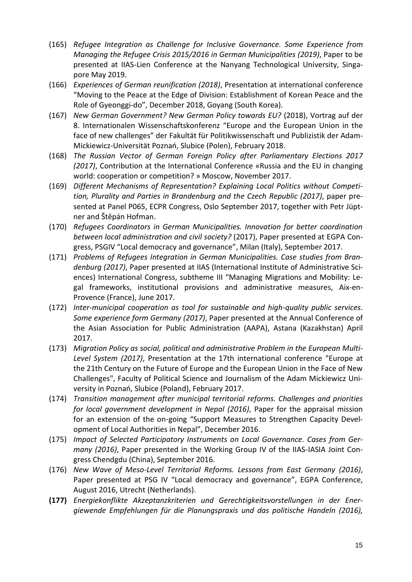- (165) *Refugee Integration as Challenge for Inclusive Governance. Some Experience from Managing the Refugee Crisis 2015/2016 in German Municipalities (2019)*, Paper to be presented at IIAS-Lien Conference at the Nanyang Technological University, Singapore May 2019.
- (166) *Experiences of German reunification (2018)*, Presentation at international conference "Moving to the Peace at the Edge of Division: Establishment of Korean Peace and the Role of Gyeonggi-do", December 2018, Goyang (South Korea).
- (167) *New German Government? New German Policy towards EU?* (2018), Vortrag auf der 8. Internationalen Wissenschaftskonferenz "Europe and the European Union in the face of new challenges" der Fakultät für Politikwissenschaft und Publizistik der Adam-Mickiewicz-Universität Poznań, Slubice (Polen), February 2018.
- (168) *The Russian Vector of German Foreign Policy after Parliamentary Elections 2017 (2017)*, Contribution at the International Conference «Russia and the EU in changing world: cooperation or competition? » Moscow, November 2017.
- (169) *Different Mechanisms of Representation? Explaining Local Politics without Competition, Plurality and Parties in Brandenburg and the Czech Republic (2017)*, paper presented at Panel P065, ECPR Congress, Oslo September 2017, together with Petr Jüptner and Štěpán Hofman.
- (170) *Refugees Coordinators in German Municipalities. Innovation for better coordination between local administration and civil society?* (2017), Paper presented at EGPA Congress, PSGIV "Local democracy and governance", Milan (Italy), September 2017.
- (171) *Problems of Refugees Integration in German Municipalities. Case studies from Brandenburg (2017)*, Paper presented at IIAS (International Institute of Administrative Sciences) International Congress, subtheme III "Managing Migrations and Mobility: Legal frameworks, institutional provisions and administrative measures, Aix-en-Provence (France), June 2017.
- (172) *Inter-municipal cooperation as tool for sustainable and high-quality public services. Some experience form Germany (2017)*, Paper presented at the Annual Conference of the Asian Association for Public Administration (AAPA), Astana (Kazakhstan) April 2017.
- (173) *Migration Policy as social, political and administrative Problem in the European Multi-Level System (2017)*, Presentation at the 17th international conference "Europe at the 21th Century on the Future of Europe and the European Union in the Face of New Challenges", Faculty of Political Science and Journalism of the Adam Mickiewicz University in Poznań, Slubice (Poland), February 2017.
- (174) *Transition management after municipal territorial reforms. Challenges and priorities for local government development in Nepal (2016)*, Paper for the appraisal mission for an extension of the on-going "Support Measures to Strengthen Capacity Development of Local Authorities in Nepal", December 2016.
- (175) *Impact of Selected Participatory Instruments on Local Governance. Cases from Germany (2016)*, Paper presented in the Working Group IV of the IIAS-IASIA Joint Congress Chendgdu (China), September 2016.
- (176) *New Wave of Meso-Level Territorial Reforms. Lessons from East Germany (2016)*, Paper presented at PSG IV "Local democracy and governance", EGPA Conference, August 2016, Utrecht (Netherlands).
- **(177)** *Energiekonflikte Akzeptanzkriterien und Gerechtigkeitsvorstellungen in der Energiewende Empfehlungen für die Planungspraxis und das politische Handeln (2016),*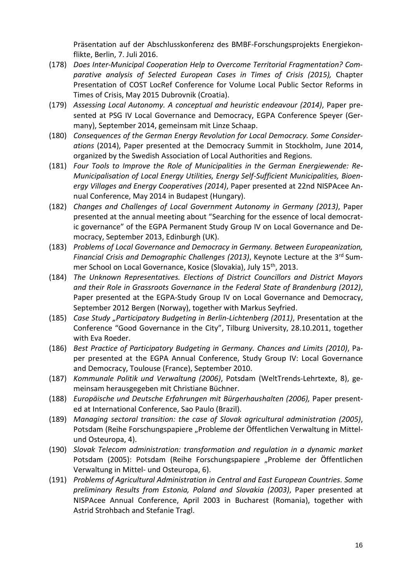Präsentation auf der Abschlusskonferenz des BMBF-Forschungsprojekts Energiekonflikte, Berlin, 7. Juli 2016.

- (178) *Does Inter-Municipal Cooperation Help to Overcome Territorial Fragmentation? Comparative analysis of Selected European Cases in Times of Crisis (2015),* Chapter Presentation of COST LocRef Conference for Volume Local Public Sector Reforms in Times of Crisis, May 2015 Dubrovnik (Croatia).
- (179) *Assessing Local Autonomy. A conceptual and heuristic endeavour (2014)*, Paper presented at PSG IV Local Governance and Democracy, EGPA Conference Speyer (Germany), September 2014, gemeinsam mit Linze Schaap.
- (180) *Consequences of the German Energy Revolution for Local Democracy. Some Considerations* (2014), Paper presented at the Democracy Summit in Stockholm, June 2014, organized by the Swedish Association of Local Authorities and Regions.
- (181) *Four Tools to Improve the Role of Municipalities in the German Energiewende: Re-Municipalisation of Local Energy Utilities, Energy Self-Sufficient Municipalities, Bioenergy Villages and Energy Cooperatives (2014)*, Paper presented at 22nd NISPAcee Annual Conference, May 2014 in Budapest (Hungary).
- (182) *Changes and Challenges of Local Government Autonomy in Germany (2013)*, Paper presented at the annual meeting about "Searching for the essence of local democratic governance" of the EGPA Permanent Study Group IV on Local Governance and Democracy, September 2013, Edinburgh (UK).
- (183) *Problems of Local Governance and Democracy in Germany. Between Europeanization, Financial Crisis and Demographic Challenges (2013)*, Keynote Lecture at the 3rd Summer School on Local Governance, Kosice (Slovakia), July 15<sup>th</sup>, 2013.
- (184) *The Unknown Representatives. Elections of District Councillors and District Mayors and their Role in Grassroots Governance in the Federal State of Brandenburg (2012)*, Paper presented at the EGPA-Study Group IV on Local Governance and Democracy, September 2012 Bergen (Norway), together with Markus Seyfried.
- (185) *Case Study "Participatory Budgeting in Berlin-Lichtenberg (2011)*, Presentation at the Conference "Good Governance in the City", Tilburg University, 28.10.2011, together with Eva Roeder.
- (186) *Best Practice of Participatory Budgeting in Germany. Chances and Limits (2010)*, Paper presented at the EGPA Annual Conference, Study Group IV: Local Governance and Democracy, Toulouse (France), September 2010.
- (187) *Kommunale Politik und Verwaltung (2006)*, Potsdam (WeltTrends-Lehrtexte, 8), gemeinsam herausgegeben mit Christiane Büchner.
- (188) *Europäische und Deutsche Erfahrungen mit Bürgerhaushalten (2006),* Paper presented at International Conference, Sao Paulo (Brazil).
- (189) *Managing sectoral transition: the case of Slovak agricultural administration (2005)*, Potsdam (Reihe Forschungspapiere "Probleme der Öffentlichen Verwaltung in Mittelund Osteuropa, 4).
- (190) *Slovak Telecom administration: transformation and regulation in a dynamic market*  Potsdam (2005): Potsdam (Reihe Forschungspapiere "Probleme der Öffentlichen Verwaltung in Mittel- und Osteuropa, 6).
- (191) *Problems of Agricultural Administration in Central and East European Countries. Some preliminary Results from Estonia, Poland and Slovakia (2003)*, Paper presented at NISPAcee Annual Conference, April 2003 in Bucharest (Romania), together with Astrid Strohbach and Stefanie Tragl.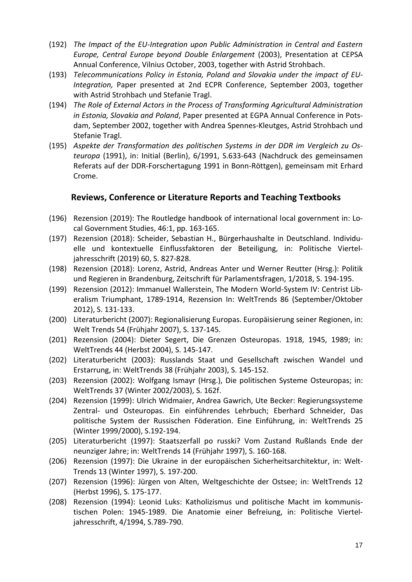- (192) *The Impact of the EU-Integration upon Public Administration in Central and Eastern Europe, Central Europe beyond Double Enlargement* (2003), Presentation at CEPSA Annual Conference, Vilnius October, 2003, together with Astrid Strohbach.
- (193) *Telecommunications Policy in Estonia, Poland and Slovakia under the impact of EU-Integration,* Paper presented at 2nd ECPR Conference, September 2003, together with Astrid Strohbach und Stefanie Tragl.
- (194) *The Role of External Actors in the Process of Transforming Agricultural Administration in Estonia, Slovakia and Poland*, Paper presented at EGPA Annual Conference in Potsdam, September 2002, together with Andrea Spennes-Kleutges, Astrid Strohbach und Stefanie Tragl.
- (195) *Aspekte der Transformation des politischen Systems in der DDR im Vergleich zu Osteuropa* (1991), in: Initial (Berlin), 6/1991, S.633-643 (Nachdruck des gemeinsamen Referats auf der DDR-Forschertagung 1991 in Bonn-Röttgen), gemeinsam mit Erhard Crome.

#### **Reviews, Conference or Literature Reports and Teaching Textbooks**

- (196) Rezension (2019): The Routledge handbook of international local government in: Local Government Studies, 46:1, pp. 163-165.
- (197) Rezension (2018): Scheider, Sebastian H., Bürgerhaushalte in Deutschland. Individuelle und kontextuelle Einflussfaktoren der Beteiligung, in: Politische Vierteljahresschrift (2019) 60, S. 827-828.
- (198) Rezension (2018): Lorenz, Astrid, Andreas Anter und Werner Reutter (Hrsg.): Politik und Regieren in Brandenburg, Zeitschrift für Parlamentsfragen, 1/2018, S. 194-195.
- (199) Rezension (2012): Immanuel Wallerstein, The Modern World-System IV: Centrist Liberalism Triumphant, 1789-1914, Rezension In: WeltTrends 86 (September/Oktober 2012), S. 131-133.
- (200) Literaturbericht (2007): Regionalisierung Europas. Europäisierung seiner Regionen, in: Welt Trends 54 (Frühjahr 2007), S. 137-145.
- (201) Rezension (2004): Dieter Segert, Die Grenzen Osteuropas. 1918, 1945, 1989; in: WeltTrends 44 (Herbst 2004), S. 145-147.
- (202) Literaturbericht (2003): Russlands Staat und Gesellschaft zwischen Wandel und Erstarrung, in: WeltTrends 38 (Frühjahr 2003), S. 145-152.
- (203) Rezension (2002): Wolfgang Ismayr (Hrsg.), Die politischen Systeme Osteuropas; in: WeltTrends 37 (Winter 2002/2003), S. 162f.
- (204) Rezension (1999): Ulrich Widmaier, Andrea Gawrich, Ute Becker: Regierungssysteme Zentral- und Osteuropas. Ein einführendes Lehrbuch; Eberhard Schneider, Das politische System der Russischen Föderation. Eine Einführung, in: WeltTrends 25 (Winter 1999/2000), S.192-194.
- (205) Literaturbericht (1997): Staatszerfall po russki? Vom Zustand Rußlands Ende der neunziger Jahre; in: WeltTrends 14 (Frühjahr 1997), S. 160-168.
- (206) Rezension (1997): Die Ukraine in der europäischen Sicherheitsarchitektur, in: Welt-Trends 13 (Winter 1997), S. 197-200.
- (207) Rezension (1996): Jürgen von Alten, Weltgeschichte der Ostsee; in: WeltTrends 12 (Herbst 1996), S. 175-177.
- (208) Rezension (1994): Leonid Luks: Katholizismus und politische Macht im kommunistischen Polen: 1945-1989. Die Anatomie einer Befreiung, in: Politische Vierteljahresschrift, 4/1994, S.789-790.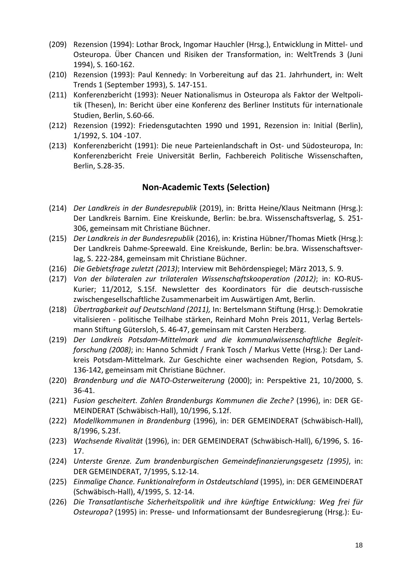- (209) Rezension (1994): Lothar Brock, Ingomar Hauchler (Hrsg.), Entwicklung in Mittel- und Osteuropa. Über Chancen und Risiken der Transformation, in: WeltTrends 3 (Juni 1994), S. 160-162.
- (210) Rezension (1993): Paul Kennedy: In Vorbereitung auf das 21. Jahrhundert, in: Welt Trends 1 (September 1993), S. 147-151.
- (211) Konferenzbericht (1993): Neuer Nationalismus in Osteuropa als Faktor der Weltpolitik (Thesen), In: Bericht über eine Konferenz des Berliner Instituts für internationale Studien, Berlin, S.60-66.
- (212) Rezension (1992): Friedensgutachten 1990 und 1991, Rezension in: Initial (Berlin), 1/1992, S. 104 -107.
- (213) Konferenzbericht (1991): Die neue Parteienlandschaft in Ost- und Südosteuropa, In: Konferenzbericht Freie Universität Berlin, Fachbereich Politische Wissenschaften, Berlin, S.28-35.

#### **Non-Academic Texts (Selection)**

- (214) *Der Landkreis in der Bundesrepublik* (2019), in: Britta Heine/Klaus Neitmann (Hrsg.): Der Landkreis Barnim. Eine Kreiskunde, Berlin: be.bra. Wissenschaftsverlag, S. 251- 306, gemeinsam mit Christiane Büchner.
- (215) *Der Landkreis in der Bundesrepublik* (2016), in: Kristina Hübner/Thomas Mietk (Hrsg.): Der Landkreis Dahme-Spreewald. Eine Kreiskunde, Berlin: be.bra. Wissenschaftsverlag, S. 222-284, gemeinsam mit Christiane Büchner.
- (216) *Die Gebietsfrage zuletzt (2013)*; Interview mit Behördenspiegel; März 2013, S. 9.
- (217) *Von der bilateralen zur trilateralen Wissenschaftskooperation (2012)*; in: KO-RUS-Kurier; 11/2012, S.15f. Newsletter des Koordinators für die deutsch-russische zwischengesellschaftliche Zusammenarbeit im Auswärtigen Amt, Berlin.
- (218) *Übertragbarkeit auf Deutschland (2011),* In: Bertelsmann Stiftung (Hrsg.): Demokratie vitalisieren - politische Teilhabe stärken, Reinhard Mohn Preis 2011, Verlag Bertelsmann Stiftung Gütersloh, S. 46-47, gemeinsam mit Carsten Herzberg.
- (219) *Der Landkreis Potsdam-Mittelmark und die kommunalwissenschaftliche Begleitforschung (2008)*; in: Hanno Schmidt / Frank Tosch / Markus Vette (Hrsg.): Der Landkreis Potsdam-Mittelmark. Zur Geschichte einer wachsenden Region, Potsdam, S. 136-142, gemeinsam mit Christiane Büchner.
- (220) *Brandenburg und die NATO-Osterweiterung* (2000); in: Perspektive 21, 10/2000, S. 36-41.
- (221) *Fusion gescheitert. Zahlen Brandenburgs Kommunen die Zeche?* (1996), in: DER GE-MEINDERAT (Schwäbisch-Hall), 10/1996, S.12f.
- (222) *Modellkommunen in Brandenburg* (1996), in: DER GEMEINDERAT (Schwäbisch-Hall), 8/1996, S.23f.
- (223) *Wachsende Rivalität* (1996), in: DER GEMEINDERAT (Schwäbisch-Hall), 6/1996, S. 16- 17.
- (224) *Unterste Grenze. Zum brandenburgischen Gemeindefinanzierungsgesetz (1995)*, in: DER GEMEINDERAT, 7/1995, S.12-14.
- (225) *Einmalige Chance. Funktionalreform in Ostdeutschland* (1995), in: DER GEMEINDERAT (Schwäbisch-Hall), 4/1995, S. 12-14.
- (226) *Die Transatlantische Sicherheitspolitik und ihre künftige Entwicklung: Weg frei für Osteuropa?* (1995) in: Presse- und Informationsamt der Bundesregierung (Hrsg.): Eu-